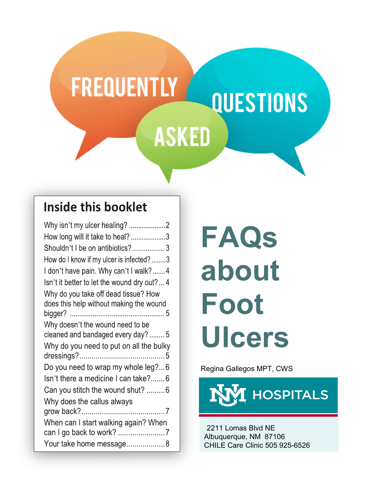## **FREQUENTLY QUESTIONS ASKED**

### **Inside this booklet**

| Why isn't my ulcer healing? 2               |
|---------------------------------------------|
| How long will it take to heal? 3            |
| Shouldn't I be on antibiotics? 3            |
| How do I know if my ulcer is infected? 3    |
| I don't have pain. Why can't I walk?4       |
| Isn't it better to let the wound dry out? 4 |
| Why do you take off dead tissue? How        |
| does this help without making the wound     |
|                                             |
| Why doesn't the wound need to be            |
| cleaned and bandaged every day?  5          |
| Why do you need to put on all the bulky     |
|                                             |
| Do you need to wrap my whole leg?6          |
| Isn't there a medicine I can take?6         |
| Can you stitch the wound shut? 6            |
| Why does the callus always                  |
|                                             |
| When can I start walking again? When        |
|                                             |
| Your take home message8                     |

# **FAQs about Foot Ulcers**

Regina Gallegos MPT, CWS



2211 Lomas Blvd NE Albuquerque, NM 87106 CHILE Care Clinic 505 925-6526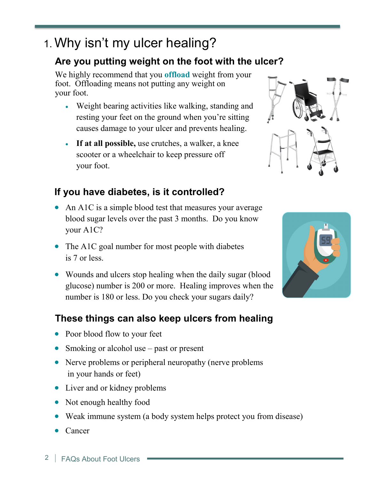## 1. Why isn't my ulcer healing?

#### **Are you putting weight on the foot with the ulcer?**

We highly recommend that you **offload** weight from your foot. Offloading means not putting any weight on your foot.

- Weight bearing activities like walking, standing and resting your feet on the ground when you're sitting causes damage to your ulcer and prevents healing.
- **If at all possible,** use crutches, a walker, a knee scooter or a wheelchair to keep pressure off your foot.

#### **If you have diabetes, is it controlled?**

- An A1C is a simple blood test that measures your average blood sugar levels over the past 3 months. Do you know your A1C?
- The A1C goal number for most people with diabetes is 7 or less.
- Wounds and ulcers stop healing when the daily sugar (blood glucose) number is 200 or more. Healing improves when the number is 180 or less. Do you check your sugars daily?

#### **These things can also keep ulcers from healing**

- Poor blood flow to your feet
- Smoking or alcohol use past or present
- Nerve problems or peripheral neuropathy (nerve problems) in your hands or feet)
- Liver and or kidney problems
- Not enough healthy food
- Weak immune system (a body system helps protect you from disease)
- Cancer



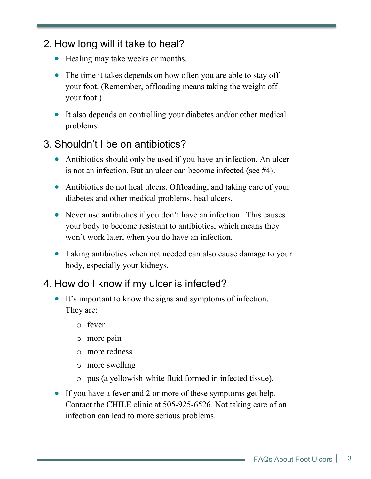#### 2. How long will it take to heal?

- Healing may take weeks or months.
- The time it takes depends on how often you are able to stay off your foot. (Remember, offloading means taking the weight off your foot.)
- It also depends on controlling your diabetes and/or other medical problems.

#### 3. Shouldn't I be on antibiotics?

- Antibiotics should only be used if you have an infection. An ulcer is not an infection. But an ulcer can become infected (see #4).
- Antibiotics do not heal ulcers. Offloading, and taking care of your diabetes and other medical problems, heal ulcers.
- Never use antibiotics if you don't have an infection. This causes your body to become resistant to antibiotics, which means they won't work later, when you do have an infection.
- Taking antibiotics when not needed can also cause damage to your body, especially your kidneys.

#### 4. How do I know if my ulcer is infected?

- It's important to know the signs and symptoms of infection. They are:
	- o fever
	- o more pain
	- o more redness
	- o more swelling
	- o pus (a yellowish-white fluid formed in infected tissue).
- If you have a fever and 2 or more of these symptoms get help. Contact the CHILE clinic at 505-925-6526. Not taking care of an infection can lead to more serious problems.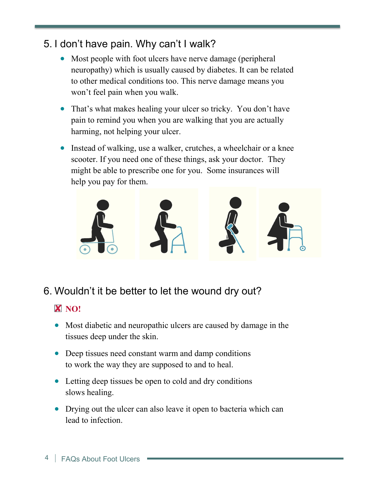#### 5. I don't have pain. Why can't I walk?

- Most people with foot ulcers have nerve damage (peripheral neuropathy) which is usually caused by diabetes. It can be related to other medical conditions too. This nerve damage means you won't feel pain when you walk.
- That's what makes healing your ulcer so tricky. You don't have pain to remind you when you are walking that you are actually harming, not helping your ulcer.
- Instead of walking, use a walker, crutches, a wheelchair or a knee scooter. If you need one of these things, ask your doctor. They might be able to prescribe one for you. Some insurances will help you pay for them.



6. Wouldn't it be better to let the wound dry out?

#### **X** NO!

- Most diabetic and neuropathic ulcers are caused by damage in the tissues deep under the skin.
- Deep tissues need constant warm and damp conditions to work the way they are supposed to and to heal.
- Letting deep tissues be open to cold and dry conditions slows healing.
- Drying out the ulcer can also leave it open to bacteria which can lead to infection.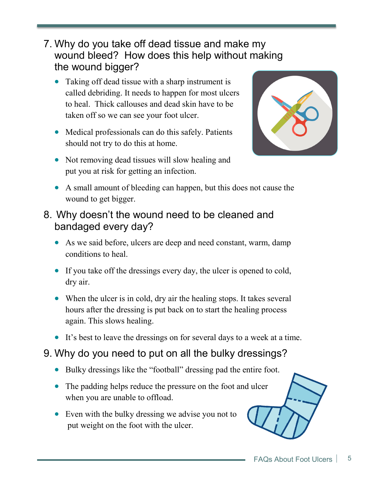- 7. Why do you take off dead tissue and make my wound bleed? How does this help without making the wound bigger?
	- Taking off dead tissue with a sharp instrument is called debriding. It needs to happen for most ulcers to heal. Thick callouses and dead skin have to be taken off so we can see your foot ulcer.
	- Medical professionals can do this safely. Patients should not try to do this at home.
	- Not removing dead tissues will slow healing and put you at risk for getting an infection.



- A small amount of bleeding can happen, but this does not cause the wound to get bigger.
- 8. Why doesn't the wound need to be cleaned and bandaged every day?
	- As we said before, ulcers are deep and need constant, warm, damp conditions to heal.
	- If you take off the dressings every day, the ulcer is opened to cold, dry air.
	- When the ulcer is in cold, dry air the healing stops. It takes several hours after the dressing is put back on to start the healing process again. This slows healing.
	- It's best to leave the dressings on for several days to a week at a time.
- 9. Why do you need to put on all the bulky dressings?
	- Bulky dressings like the "football" dressing pad the entire foot.
	- The padding helps reduce the pressure on the foot and ulcer when you are unable to offload.
	- Even with the bulky dressing we advise you not to put weight on the foot with the ulcer.

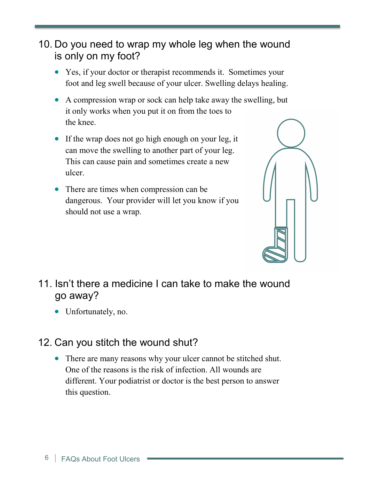#### 10. Do you need to wrap my whole leg when the wound is only on my foot?

- Yes, if your doctor or therapist recommends it. Sometimes your foot and leg swell because of your ulcer. Swelling delays healing.
- A compression wrap or sock can help take away the swelling, but it only works when you put it on from the toes to the knee.
- If the wrap does not go high enough on your leg, it can move the swelling to another part of your leg. This can cause pain and sometimes create a new ulcer.
- There are times when compression can be dangerous. Your provider will let you know if you should not use a wrap.



- 11. Isn't there a medicine I can take to make the wound go away?
	- Unfortunately, no.

#### 12. Can you stitch the wound shut?

• There are many reasons why your ulcer cannot be stitched shut. One of the reasons is the risk of infection. All wounds are different. Your podiatrist or doctor is the best person to answer this question.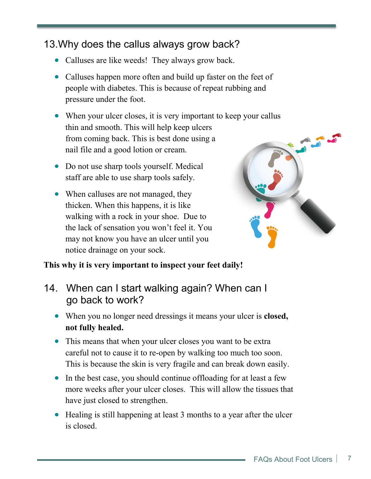#### 13.Why does the callus always grow back?

- Calluses are like weeds! They always grow back.
- Calluses happen more often and build up faster on the feet of people with diabetes. This is because of repeat rubbing and pressure under the foot.
- When your ulcer closes, it is very important to keep your callus thin and smooth. This will help keep ulcers from coming back. This is best done using a nail file and a good lotion or cream.
- Do not use sharp tools yourself. Medical staff are able to use sharp tools safely.
- When calluses are not managed, they thicken. When this happens, it is like walking with a rock in your shoe. Due to the lack of sensation you won't feel it. You may not know you have an ulcer until you notice drainage on your sock.



#### **This why it is very important to inspect your feet daily!**

- 14. When can I start walking again? When can I go back to work?
	- When you no longer need dressings it means your ulcer is **closed, not fully healed.**
	- This means that when your ulcer closes you want to be extra careful not to cause it to re-open by walking too much too soon. This is because the skin is very fragile and can break down easily.
	- In the best case, you should continue offloading for at least a few more weeks after your ulcer closes. This will allow the tissues that have just closed to strengthen.
	- Healing is still happening at least 3 months to a year after the ulcer is closed.